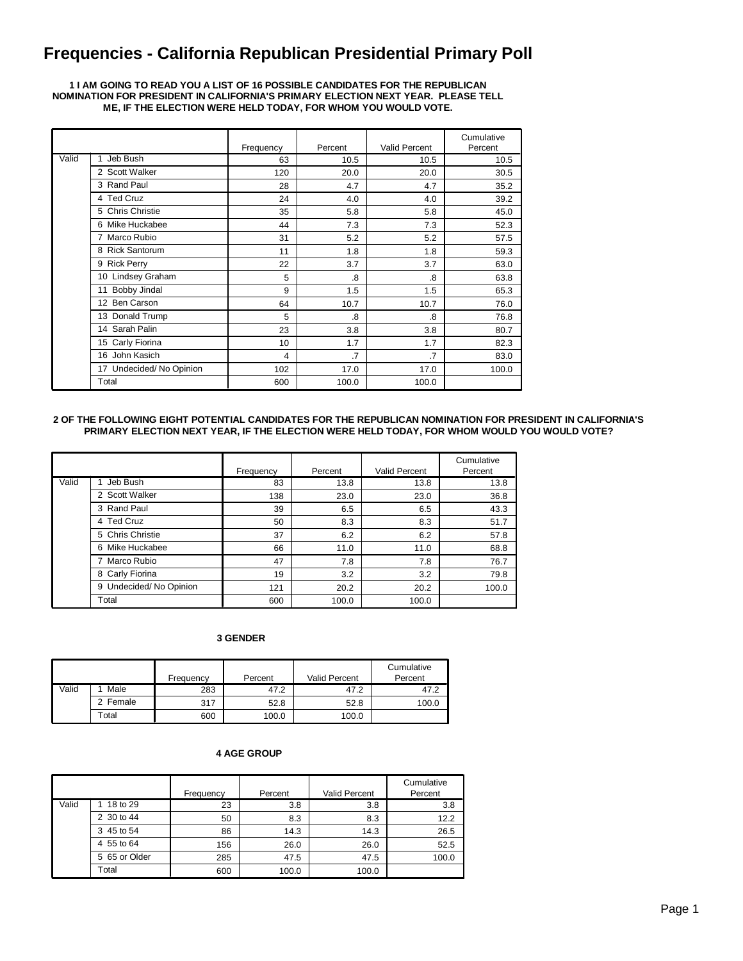# **Frequencies - California Republican Presidential Primary Poll**

#### **1 I AM GOING TO READ YOU A LIST OF 16 POSSIBLE CANDIDATES FOR THE REPUBLICAN NOMINATION FOR PRESIDENT IN CALIFORNIA'S PRIMARY ELECTION NEXT YEAR. PLEASE TELL ME, IF THE ELECTION WERE HELD TODAY, FOR WHOM YOU WOULD VOTE.**

|       |                         | Frequency | Percent        | Valid Percent   | Cumulative<br>Percent |
|-------|-------------------------|-----------|----------------|-----------------|-----------------------|
| Valid | Jeb Bush                | 63        | 10.5           | 10.5            | 10.5                  |
|       | 2 Scott Walker          | 120       | 20.0           | 20.0            | 30.5                  |
|       | 3 Rand Paul             | 28        | 4.7            | 4.7             | 35.2                  |
|       | 4 Ted Cruz              | 24        | 4.0            | 4.0             | 39.2                  |
|       | 5 Chris Christie        | 35        | 5.8            | 5.8             | 45.0                  |
|       | 6 Mike Huckabee         | 44        | 7.3            | 7.3             | 52.3                  |
|       | 7 Marco Rubio           | 31        | 5.2            | 5.2             | 57.5                  |
|       | 8 Rick Santorum         | 11        | 1.8            | 1.8             | 59.3                  |
|       | 9 Rick Perry            | 22        | 3.7            | 3.7             | 63.0                  |
|       | 10 Lindsey Graham       | 5         | 8.             | .8              | 63.8                  |
|       | Bobby Jindal<br>11      | 9         | 1.5            | 1.5             | 65.3                  |
|       | <b>Ben Carson</b><br>12 | 64        | 10.7           | 10.7            | 76.0                  |
|       | 13 Donald Trump         | 5         | .8             | .8              | 76.8                  |
|       | 14 Sarah Palin          | 23        | 3.8            | 3.8             | 80.7                  |
|       | 15 Carly Fiorina        | 10        | 1.7            | 1.7             | 82.3                  |
|       | 16 John Kasich          | 4         | $\overline{7}$ | $\overline{.7}$ | 83.0                  |
|       | 17 Undecided/No Opinion | 102       | 17.0           | 17.0            | 100.0                 |
|       | Total                   | 600       | 100.0          | 100.0           |                       |

#### **2 OF THE FOLLOWING EIGHT POTENTIAL CANDIDATES FOR THE REPUBLICAN NOMINATION FOR PRESIDENT IN CALIFORNIA'S PRIMARY ELECTION NEXT YEAR, IF THE ELECTION WERE HELD TODAY, FOR WHOM WOULD YOU WOULD VOTE?**

|       |                        | Frequency | Percent | Valid Percent | Cumulative<br>Percent |
|-------|------------------------|-----------|---------|---------------|-----------------------|
| Valid | Jeb Bush               | 83        | 13.8    | 13.8          | 13.8                  |
|       | 2 Scott Walker         | 138       | 23.0    | 23.0          | 36.8                  |
|       | 3 Rand Paul            | 39        | 6.5     | 6.5           | 43.3                  |
|       | 4 Ted Cruz             | 50        | 8.3     | 8.3           | 51.7                  |
|       | 5 Chris Christie       | 37        | 6.2     | 6.2           | 57.8                  |
|       | 6 Mike Huckabee        | 66        | 11.0    | 11.0          | 68.8                  |
|       | 7 Marco Rubio          | 47        | 7.8     | 7.8           | 76.7                  |
|       | 8 Carly Fiorina        | 19        | 3.2     | 3.2           | 79.8                  |
|       | 9 Undecided/No Opinion | 121       | 20.2    | 20.2          | 100.0                 |
|       | Total                  | 600       | 100.0   | 100.0         |                       |

#### **3 GENDER**

|       |        | Frequency | Percent | <b>Valid Percent</b> | Cumulative<br>Percent |
|-------|--------|-----------|---------|----------------------|-----------------------|
| Valid | Male   | 283       | 47.2    | 47.2                 | 47.2                  |
|       | Female | 317       | 52.8    | 52.8                 | 100.0                 |
|       | Total  | 600       | 100.0   | 100.0                |                       |

### **4 AGE GROUP**

|       |               | Frequency | Percent | Valid Percent | Cumulative<br>Percent |
|-------|---------------|-----------|---------|---------------|-----------------------|
| Valid | 18 to 29      | 23        | 3.8     | 3.8           | 3.8                   |
|       | 2 30 to 44    | 50        | 8.3     | 8.3           | 12.2                  |
|       | 3 45 to 54    | 86        | 14.3    | 14.3          | 26.5                  |
|       | 4 55 to 64    | 156       | 26.0    | 26.0          | 52.5                  |
|       | 5 65 or Older | 285       | 47.5    | 47.5          | 100.0                 |
|       | Total         | 600       | 100.0   | 100.0         |                       |